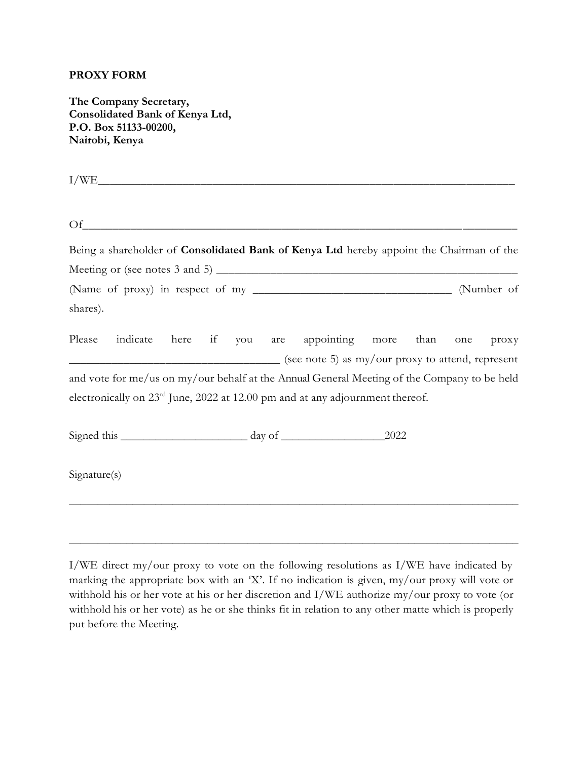### **PROXY FORM**

**The Company Secretary, Consolidated Bank of Kenya Ltd, P.O. Box 51133-00200, Nairobi, Kenya**

 $I/WE$  $\Omega$  f Being a shareholder of **Consolidated Bank of Kenya Ltd** hereby appoint the Chairman of the Meeting or (see notes 3 and 5)  $\_\_\_\_\_\_\_\_\_\_$ (Name of proxy) in respect of my \_\_\_\_\_\_\_\_\_\_\_\_\_\_\_\_\_\_\_\_\_\_\_\_\_\_\_\_\_\_\_\_\_ (Number of shares). Please indicate here if you are appointing more than one proxy  $\frac{1}{\sqrt{2\pi}}$  (see note 5) as my/our proxy to attend, represent and vote for me/us on my/our behalf at the Annual General Meeting of the Company to be held electronically on 23rd June, 2022 at 12.00 pm and at any adjournment thereof. Signed this day of 2022 Signature(s) \_\_\_\_\_\_\_\_\_\_\_\_\_\_\_\_\_\_\_\_\_\_\_\_\_\_\_\_\_\_\_\_\_\_\_\_\_\_\_\_\_\_\_\_\_\_\_\_\_\_\_\_\_\_\_\_\_\_\_\_\_\_\_\_\_\_\_\_\_\_\_\_\_\_\_\_\_\_

I/WE direct my/our proxy to vote on the following resolutions as I/WE have indicated by marking the appropriate box with an 'X'. If no indication is given, my/our proxy will vote or withhold his or her vote at his or her discretion and I/WE authorize my/our proxy to vote (or withhold his or her vote) as he or she thinks fit in relation to any other matte which is properly put before the Meeting.

\_\_\_\_\_\_\_\_\_\_\_\_\_\_\_\_\_\_\_\_\_\_\_\_\_\_\_\_\_\_\_\_\_\_\_\_\_\_\_\_\_\_\_\_\_\_\_\_\_\_\_\_\_\_\_\_\_\_\_\_\_\_\_\_\_\_\_\_\_\_\_\_\_\_\_\_\_\_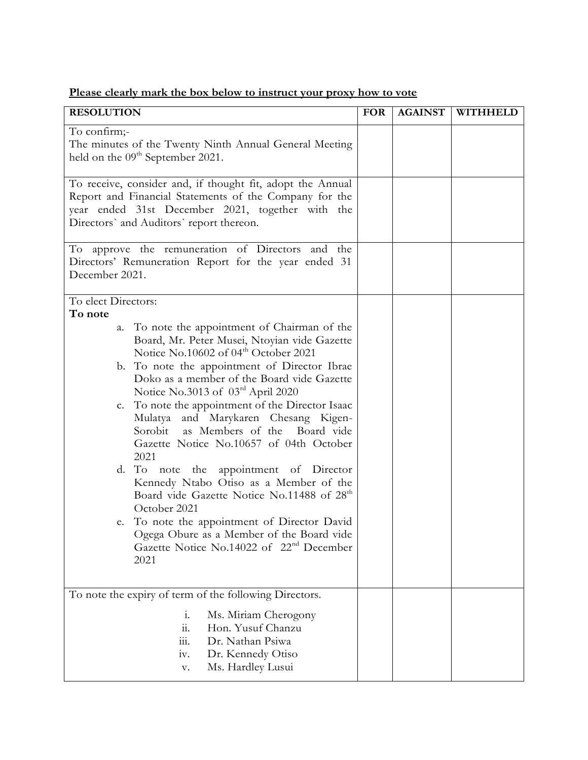|  |  |  | Please clearly mark the box below to instruct your proxy how to vote |  |  |  |
|--|--|--|----------------------------------------------------------------------|--|--|--|
|  |  |  |                                                                      |  |  |  |

| <b>RESOLUTION</b>                                                                                                                                                                                                                                                                                                                                                                                                                                                                                                                                                                                                                                                                                                                                                                                                                              | <b>FOR</b> | <b>AGAINST</b> | WITHHELD |
|------------------------------------------------------------------------------------------------------------------------------------------------------------------------------------------------------------------------------------------------------------------------------------------------------------------------------------------------------------------------------------------------------------------------------------------------------------------------------------------------------------------------------------------------------------------------------------------------------------------------------------------------------------------------------------------------------------------------------------------------------------------------------------------------------------------------------------------------|------------|----------------|----------|
| To confirm;-<br>The minutes of the Twenty Ninth Annual General Meeting<br>held on the 09 <sup>th</sup> September 2021.                                                                                                                                                                                                                                                                                                                                                                                                                                                                                                                                                                                                                                                                                                                         |            |                |          |
| To receive, consider and, if thought fit, adopt the Annual<br>Report and Financial Statements of the Company for the<br>year ended 31st December 2021, together with the<br>Directors' and Auditors' report thereon.                                                                                                                                                                                                                                                                                                                                                                                                                                                                                                                                                                                                                           |            |                |          |
| To approve the remuneration of Directors and the<br>Directors' Remuneration Report for the year ended 31<br>December 2021.                                                                                                                                                                                                                                                                                                                                                                                                                                                                                                                                                                                                                                                                                                                     |            |                |          |
| To elect Directors:<br>To note<br>To note the appointment of Chairman of the<br>a.<br>Board, Mr. Peter Musei, Ntoyian vide Gazette<br>Notice No.10602 of 04 <sup>th</sup> October 2021<br>b. To note the appointment of Director Ibrae<br>Doko as a member of the Board vide Gazette<br>Notice No.3013 of 03rd April 2020<br>c. To note the appointment of the Director Isaac<br>Mulatya and Marykaren Chesang Kigen-<br>as Members of the Board vide<br>Sorobit<br>Gazette Notice No.10657 of 04th October<br>2021<br>d. To note the appointment of Director<br>Kennedy Ntabo Otiso as a Member of the<br>Board vide Gazette Notice No.11488 of 28 <sup>th</sup><br>October 2021<br>e. To note the appointment of Director David<br>Ogega Obure as a Member of the Board vide<br>Gazette Notice No.14022 of 22 <sup>nd</sup> December<br>2021 |            |                |          |
| To note the expiry of term of the following Directors.<br>Ms. Miriam Cherogony<br>$\mathbf{i}$ .<br>$\dddot{\mathbf{u}}$ .<br>Hon. Yusuf Chanzu<br>Dr. Nathan Psiwa<br>111.<br>Dr. Kennedy Otiso<br>iv.<br>Ms. Hardley Lusui<br>V.                                                                                                                                                                                                                                                                                                                                                                                                                                                                                                                                                                                                             |            |                |          |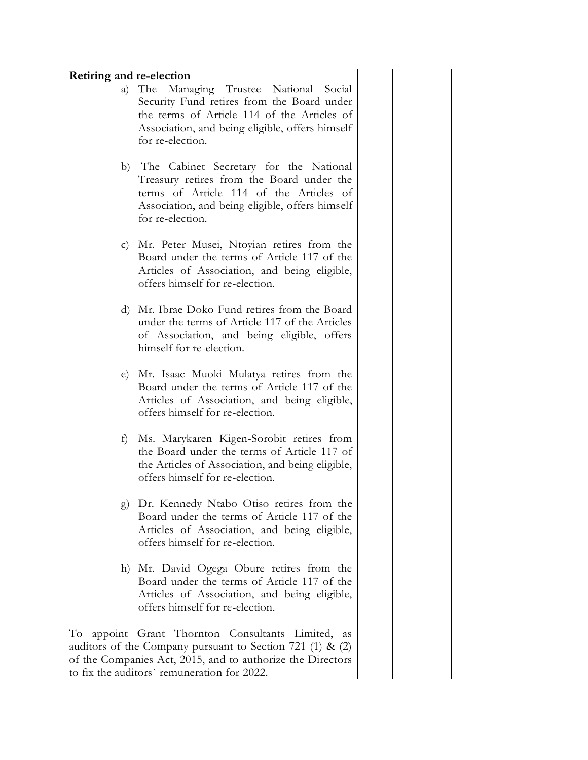| Retiring and re-election |                                                                                                                                                                                                                             |  |  |
|--------------------------|-----------------------------------------------------------------------------------------------------------------------------------------------------------------------------------------------------------------------------|--|--|
| a)                       | Managing Trustee<br>The<br>National Social<br>Security Fund retires from the Board under<br>the terms of Article 114 of the Articles of<br>Association, and being eligible, offers himself<br>for re-election.              |  |  |
| b)                       | The Cabinet Secretary for the National<br>Treasury retires from the Board under the<br>terms of Article 114 of the Articles of<br>Association, and being eligible, offers himself<br>for re-election.                       |  |  |
| $\mathbf{C}$             | Mr. Peter Musei, Ntoyian retires from the<br>Board under the terms of Article 117 of the<br>Articles of Association, and being eligible,<br>offers himself for re-election.                                                 |  |  |
| $\mathbf{d}$             | Mr. Ibrae Doko Fund retires from the Board<br>under the terms of Article 117 of the Articles<br>of Association, and being eligible, offers<br>himself for re-election.                                                      |  |  |
| e)                       | Mr. Isaac Muoki Mulatya retires from the<br>Board under the terms of Article 117 of the<br>Articles of Association, and being eligible,<br>offers himself for re-election.                                                  |  |  |
| t)                       | Ms. Marykaren Kigen-Sorobit retires from<br>the Board under the terms of Article 117 of<br>the Articles of Association, and being eligible,<br>offers himself for re-election.                                              |  |  |
| g)                       | Dr. Kennedy Ntabo Otiso retires from the<br>Board under the terms of Article 117 of the<br>Articles of Association, and being eligible,<br>offers himself for re-election.                                                  |  |  |
|                          | h) Mr. David Ogega Obure retires from the<br>Board under the terms of Article 117 of the<br>Articles of Association, and being eligible,<br>offers himself for re-election.                                                 |  |  |
|                          | To appoint Grant Thornton Consultants Limited, as<br>auditors of the Company pursuant to Section 721 (1) & (2)<br>of the Companies Act, 2015, and to authorize the Directors<br>to fix the auditors' remuneration for 2022. |  |  |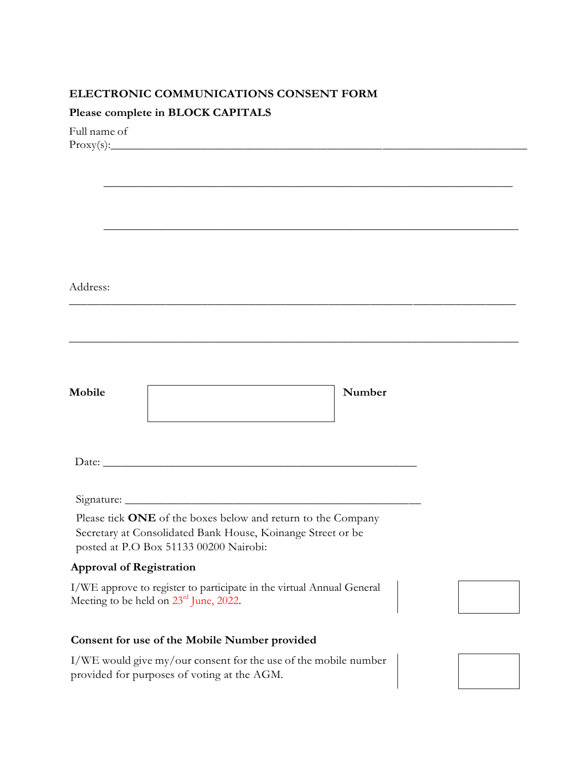## **ELECTRONIC COMMUNICATIONS CONSENT FORM**

# **Please complete in BLOCK CAPITALS**

Full name of  $Proxy(s):$ 

Address:

| Mobile                          |                                                              | Number |  |
|---------------------------------|--------------------------------------------------------------|--------|--|
|                                 |                                                              |        |  |
|                                 |                                                              |        |  |
|                                 |                                                              |        |  |
|                                 |                                                              |        |  |
|                                 |                                                              |        |  |
|                                 | Please tick ONE of the boxes below and return to the Company |        |  |
|                                 | Secretary at Consolidated Bank House, Koinange Street or be  |        |  |
|                                 | posted at P.O Box 51133 00200 Nairobi:                       |        |  |
| <b>Approval of Registration</b> |                                                              |        |  |

 $\_$  , and the set of the set of the set of the set of the set of the set of the set of the set of the set of the set of the set of the set of the set of the set of the set of the set of the set of the set of the set of th

 $\_$  , and the set of the set of the set of the set of the set of the set of the set of the set of the set of the set of the set of the set of the set of the set of the set of the set of the set of the set of the set of th

\_\_\_\_\_\_\_\_\_\_\_\_\_\_\_\_\_\_\_\_\_\_\_\_\_\_\_\_\_\_\_\_\_\_\_\_\_\_\_\_\_\_\_\_\_\_\_\_\_\_\_\_\_\_\_\_\_\_\_\_\_\_\_\_\_\_\_\_\_\_\_\_\_\_

\_\_\_\_\_\_\_\_\_\_\_\_\_\_\_\_\_\_\_\_\_\_\_\_\_\_\_\_\_\_\_\_\_\_\_\_\_\_\_\_\_\_\_\_\_\_\_\_\_\_\_\_\_\_\_\_\_\_\_\_\_\_\_\_\_\_\_\_\_\_\_\_\_\_\_\_\_\_

I/WE approve to register to participate in the virtual Annual General Meeting to be held on 23<sup>rd</sup> June, 2022.

# **Consent for use of the Mobile Number provided**

I/WE would give my/our consent for the use of the mobile number provided for purposes of voting at the AGM.